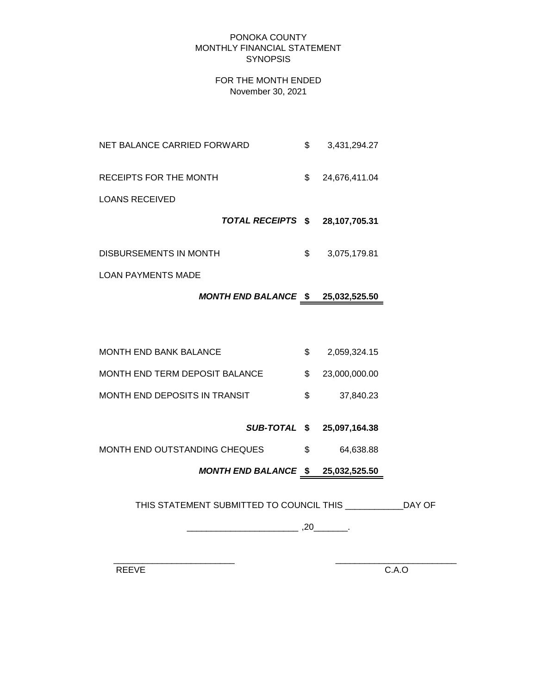#### PONOKA COUNTY MONTHLY FINANCIAL STATEMENT **SYNOPSIS**

### FOR THE MONTH ENDED November 30, 2021

NET BALANCE CARRIED FORWARD  $$3,431,294.27$ RECEIPTS FOR THE MONTH  $$24,676,411.04$ 

LOANS RECEIVED

 *TOTAL RECEIPTS* **\$ 28,107,705.31**

DISBURSEMENTS IN MONTH  $$3,075,179.81$ 

LOAN PAYMENTS MADE

# *MONTH END BALANCE* **\$ 25,032,525.50**

| <b>MONTH END BANK BALANCE</b>  |     | 2,059,324.15    |
|--------------------------------|-----|-----------------|
| MONTH END TERM DEPOSIT BALANCE |     | \$23,000,000.00 |
| MONTH END DEPOSITS IN TRANSIT  | SS. | 37.840.23       |

# *SUB-TOTAL* **\$ 25,097,164.38**

MONTH END OUTSTANDING CHEQUES  $$64,638.88$ 

*MONTH END BALANCE* **\$ 25,032,525.50**

THIS STATEMENT SUBMITTED TO COUNCIL THIS \_\_\_\_\_\_\_\_\_\_\_\_DAY OF

 $\overline{\phantom{a}20}$  ,  $\overline{\phantom{a}20}$  ,  $\overline{\phantom{a}20}$  .

 $\frac{1}{2}$  ,  $\frac{1}{2}$  ,  $\frac{1}{2}$  ,  $\frac{1}{2}$  ,  $\frac{1}{2}$  ,  $\frac{1}{2}$  ,  $\frac{1}{2}$  ,  $\frac{1}{2}$  ,  $\frac{1}{2}$  ,  $\frac{1}{2}$  ,  $\frac{1}{2}$  ,  $\frac{1}{2}$  ,  $\frac{1}{2}$  ,  $\frac{1}{2}$  ,  $\frac{1}{2}$  ,  $\frac{1}{2}$  ,  $\frac{1}{2}$  ,  $\frac{1}{2}$  ,  $\frac{1$ 

REEVE C.A.O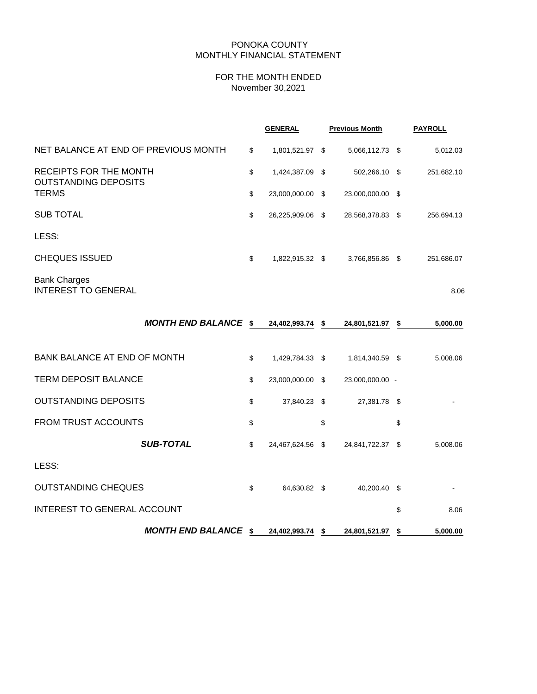## PONOKA COUNTY MONTHLY FINANCIAL STATEMENT

# FOR THE MONTH ENDED November 30,2021

|                                                       |                | <b>GENERAL</b>   | <b>Previous Month</b> |                  | <b>PAYROLL</b> |            |
|-------------------------------------------------------|----------------|------------------|-----------------------|------------------|----------------|------------|
| NET BALANCE AT END OF PREVIOUS MONTH                  | \$             | 1,801,521.97 \$  |                       | 5,066,112.73 \$  |                | 5,012.03   |
| RECEIPTS FOR THE MONTH<br><b>OUTSTANDING DEPOSITS</b> | \$             | 1,424,387.09 \$  |                       | 502,266.10 \$    |                | 251,682.10 |
| <b>TERMS</b>                                          | \$             | 23,000,000.00 \$ |                       | 23,000,000.00 \$ |                |            |
| <b>SUB TOTAL</b>                                      | \$             | 26,225,909.06 \$ |                       | 28,568,378.83 \$ |                | 256,694.13 |
| LESS:                                                 |                |                  |                       |                  |                |            |
| <b>CHEQUES ISSUED</b>                                 | $$\mathbb{S}$$ | 1,822,915.32 \$  |                       | 3,766,856.86 \$  |                | 251,686.07 |
| <b>Bank Charges</b><br><b>INTEREST TO GENERAL</b>     |                |                  |                       |                  |                | 8.06       |
| <b>MONTH END BALANCE \$</b>                           |                | 24,402,993.74 \$ |                       | 24,801,521.97 \$ |                | 5,000.00   |
| BANK BALANCE AT END OF MONTH                          | \$             | 1,429,784.33 \$  |                       | 1,814,340.59 \$  |                | 5,008.06   |
| <b>TERM DEPOSIT BALANCE</b>                           | \$             | 23,000,000.00 \$ |                       | 23,000,000.00 -  |                |            |
| <b>OUTSTANDING DEPOSITS</b>                           | \$             | 37,840.23 \$     |                       | 27,381.78 \$     |                |            |
| FROM TRUST ACCOUNTS                                   | \$             |                  | \$                    |                  | \$             |            |
| <b>SUB-TOTAL</b>                                      | \$             | 24,467,624.56 \$ |                       | 24,841,722.37 \$ |                | 5,008.06   |
| LESS:                                                 |                |                  |                       |                  |                |            |
| <b>OUTSTANDING CHEQUES</b>                            | \$             | 64,630.82 \$     |                       | 40,200.40 \$     |                |            |
| INTEREST TO GENERAL ACCOUNT                           |                |                  |                       |                  | \$             | 8.06       |
| <b>MONTH END BALANCE \$</b>                           |                | 24,402,993.74 \$ |                       | 24,801,521.97 \$ |                | 5,000.00   |